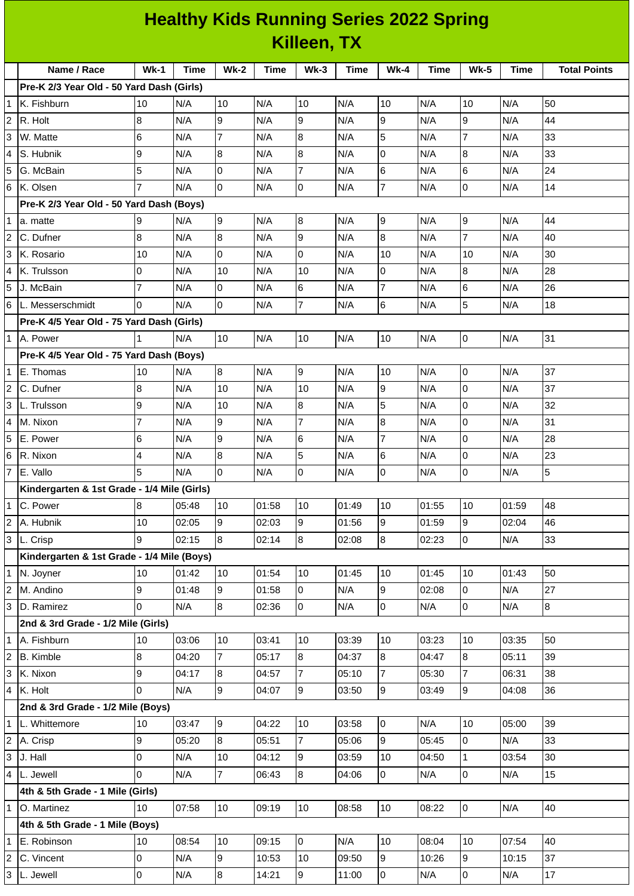## **Healthy Kids Running Series 2022 Spring Killeen, TX**

| $Wk-1$<br><b>Wk-2</b><br>$Wk-3$<br>$Wk-4$<br>Name / Race<br>Time<br><b>Time</b><br><b>Time</b><br><b>Time</b><br><b>Wk-5</b><br><b>Time</b><br><b>Total Points</b><br>Pre-K 2/3 Year Old - 50 Yard Dash (Girls)<br>10<br>N/A<br>10<br>N/A<br>10<br>N/A<br>10<br>N/A<br>10<br>N/A<br>50<br>1<br>K. Fishburn<br>9<br>9<br>9<br>8<br>N/A<br>9<br>44<br>N/A<br>N/A<br>N/A<br>N/A<br>R. Holt<br>6<br>$\overline{7}$<br>$\bf{8}$<br>5<br>$\overline{7}$<br>33<br>W. Matte<br>N/A<br>N/A<br>N/A<br>N/A<br>N/A<br>8<br>$\overline{8}$<br>0<br>8<br>33<br>9<br>S. Hubnik<br>N/A<br>N/A<br>N/A<br>N/A<br>N/A<br>l0<br>$\overline{7}$<br>24<br>5<br>6<br>6<br>N/A<br>N/A<br>N/A<br>N/A<br>N/A<br>G. McBain<br>$\overline{7}$<br>0<br>14<br>7<br>0<br>0<br>K. Olsen<br>N/A<br>N/A<br>N/A<br>N/A<br>N/A<br>Pre-K 2/3 Year Old - 50 Yard Dash (Boys)<br>9<br>8<br>9<br>9<br>N/A<br>9<br>N/A<br>N/A<br>N/A<br>N/A<br>44<br>a. matte<br>$\overline{9}$<br>$\overline{8}$<br>8<br>$\overline{7}$<br>8<br>40<br>N/A<br>N/A<br>N/A<br>N/A<br>N/A<br>C. Dufner<br>O<br>$\overline{0}$<br>30<br>10<br>10<br>10<br>N/A<br>N/A<br>N/A<br>N/A<br>N/A<br>K. Rosario<br>28<br>0<br>N/A<br>10<br>10<br>N/A<br>0<br>N/A<br>8<br>N/A<br>K. Trulsson<br>N/A<br>$\overline{7}$<br>$\overline{7}$<br>lo<br>$6\phantom{.}6$<br>$6\phantom{a}$<br>26<br>N/A<br>N/A<br>N/A<br>N/A<br>N/A<br>J. McBain<br>$\overline{7}$<br>lo<br>6<br>5<br>N/A<br>18<br>$\Omega$<br>N/A<br>N/A<br>N/A<br>N/A<br>Pre-K 4/5 Year Old - 75 Yard Dash (Girls)<br>31<br>10<br>10<br>10<br>lo<br>N/A<br>N/A<br>N/A<br>N/A<br>N/A<br>1<br>Pre-K 4/5 Year Old - 75 Yard Dash (Boys)<br>8<br>9<br>37<br>10<br>N/A<br>N/A<br>N/A<br>10<br>N/A<br>0<br>N/A<br>E. Thomas<br>9<br>37<br>8<br>$\mathsf{O}$<br>N/A<br>10<br>10<br>C. Dufner<br>N/A<br>N/A<br>N/A<br>N/A<br>5<br>8<br>32<br>9<br>10<br>0<br>N/A<br>L. Trulsson<br>N/A<br>N/A<br>N/A<br>N/A<br>$\overline{7}$<br>9<br>8<br>31<br>$\overline{7}$<br>$\overline{0}$<br>N/A<br>N/A<br>N/A<br>N/A<br>N/A<br>M. Nixon<br>9<br>$\overline{7}$<br>28<br>6<br>$6\phantom{.}6$<br>$\mathsf{O}$<br>N/A<br>N/A<br>N/A<br>N/A<br>N/A<br>E. Power<br>5<br>6<br>$\boldsymbol{8}$<br>23<br>4<br>N/A<br>N/A<br>0<br>N/A<br>IR. Nixon<br>N/A<br>N/A<br>5<br>lo<br>$\mathsf{O}$<br>0<br>$\mathbf 0$<br>5<br>N/A<br>N/A<br>N/A<br>N/A<br>N/A<br>Kindergarten & 1st Grade - 1/4 Mile (Girls)<br>10<br>10<br>10<br>01:55<br>48<br>C. Power<br>8<br>05:48<br>01:58<br>01:49<br>10<br>01:59<br>9<br>$\mathsf g$<br>9<br>$\mathsf g$<br>10<br>02:05<br>02:03<br>01:56<br>46<br>A. Hubnik<br>01:59<br>02:04<br>9<br>02:15<br>8<br>$\overline{8}$<br>8<br>02:14<br>02:23<br>$\overline{0}$<br>N/A<br>33<br>L. Crisp<br>02:08<br>Kindergarten & 1st Grade - 1/4 Mile (Boys)<br>10<br>01:54<br>01:45<br>50<br>N. Joyner<br>10<br>01:42<br>10<br>01:45<br>10<br>10<br>01:43<br>9<br>27<br>9<br>9<br>01:58<br>N/A<br>02:08<br>$\overline{0}$<br>N/A<br>M. Andino<br>01:48<br>0<br>0<br>$\overline{8}$<br>$\overline{0}$<br>0<br>$\overline{0}$<br>8<br>02:36<br>D. Ramirez<br>N/A<br>N/A<br>N/A<br>N/A<br>2nd & 3rd Grade - 1/2 Mile (Girls)<br>A. Fishburn<br>10<br>03:06<br>10<br>03:41<br>10<br>03:39<br>10<br>03:23<br>10<br>03:35<br>50<br>7<br>$\overline{8}$<br>8<br>8<br>8<br>39<br><b>B.</b> Kimble<br>04:20<br>05:17<br>04:37<br>04:47<br>05:11<br>9<br>K. Nixon<br>04:17<br>8<br>04:57<br>$\overline{7}$<br>$\overline{7}$<br>05:30<br>06:31<br>38<br>05:10<br>$\overline{7}$<br>l9<br>9<br>9<br>$\overline{9}$<br>0<br>36<br>K. Holt<br>N/A<br>04:07<br>03:49<br>04:08<br>03:50<br>2nd & 3rd Grade - 1/2 Mile (Boys)<br>39<br>10<br>03:47<br>9<br>04:22<br>10<br>03:58<br>0<br>N/A<br>10<br>05:00<br>9<br>9<br>8<br>$\overline{7}$<br>$\overline{0}$<br>33<br>05:20<br>05:51<br>05:45<br>N/A<br>A. Crisp<br>05:06<br>0<br>10<br>9<br>10<br>30<br>J. Hall<br>N/A<br>04:12<br>03:59<br>04:50<br>$\mathbf{1}$<br>03:54<br>8<br>0<br>N/A<br>$\overline{7}$<br>$\overline{0}$<br>L. Jewell<br>06:43<br>0<br>N/A<br>N/A<br>15<br>04:06<br>4th & 5th Grade - 1 Mile (Girls)<br>10<br>07:58<br>10<br>09:19<br>10<br>08:22<br>l0<br>N/A<br>O. Martinez<br>08:58<br>10<br>40<br>4th & 5th Grade - 1 Mile (Boys)<br>$\overline{0}$<br>08:54<br>10<br>09:15<br>N/A<br>10<br>08:04<br>07:54<br>40<br>E. Robinson<br>10<br>10<br>C. Vincent<br>0<br>N/A<br>9<br>10:53<br>09:50<br>9<br>10:26<br>$\overline{9}$<br>37<br>10<br>10:15<br>0<br>$\overline{8}$<br>9<br>0<br>$\overline{0}$<br>17<br>N/A<br>N/A<br>L. Jewell<br>N/A<br>14:21<br>11:00 |  |  |  |  |  |  |  |  |  |  |  |  |  |
|--------------------------------------------------------------------------------------------------------------------------------------------------------------------------------------------------------------------------------------------------------------------------------------------------------------------------------------------------------------------------------------------------------------------------------------------------------------------------------------------------------------------------------------------------------------------------------------------------------------------------------------------------------------------------------------------------------------------------------------------------------------------------------------------------------------------------------------------------------------------------------------------------------------------------------------------------------------------------------------------------------------------------------------------------------------------------------------------------------------------------------------------------------------------------------------------------------------------------------------------------------------------------------------------------------------------------------------------------------------------------------------------------------------------------------------------------------------------------------------------------------------------------------------------------------------------------------------------------------------------------------------------------------------------------------------------------------------------------------------------------------------------------------------------------------------------------------------------------------------------------------------------------------------------------------------------------------------------------------------------------------------------------------------------------------------------------------------------------------------------------------------------------------------------------------------------------------------------------------------------------------------------------------------------------------------------------------------------------------------------------------------------------------------------------------------------------------------------------------------------------------------------------------------------------------------------------------------------------------------------------------------------------------------------------------------------------------------------------------------------------------------------------------------------------------------------------------------------------------------------------------------------------------------------------------------------------------------------------------------------------------------------------------------------------------------------------------------------------------------------------------------------------------------------------------------------------------------------------------------------------------------------------------------------------------------------------------------------------------------------------------------------------------------------------------------------------------------------------------------------------------------------------------------------------------------------------------------------------------------------------------------------------------------------------------------------------------------------------------------------------------------------------------------------------------------------------------------------------------------------------------------------------------------------------------------------------------------------------------------------------------------------------------------------------------------------------------------------------------------------------------------------------------------------------------------------------------------------------------------------------------------------------------------------------------------------------------------------------------------------------------------------------------------------------------------------------------------------------------------------------------------|--|--|--|--|--|--|--|--|--|--|--|--|--|
|                                                                                                                                                                                                                                                                                                                                                                                                                                                                                                                                                                                                                                                                                                                                                                                                                                                                                                                                                                                                                                                                                                                                                                                                                                                                                                                                                                                                                                                                                                                                                                                                                                                                                                                                                                                                                                                                                                                                                                                                                                                                                                                                                                                                                                                                                                                                                                                                                                                                                                                                                                                                                                                                                                                                                                                                                                                                                                                                                                                                                                                                                                                                                                                                                                                                                                                                                                                                                                                                                                                                                                                                                                                                                                                                                                                                                                                                                                                                                                                                                                                                                                                                                                                                                                                                                                                                                                                                                                                                                                              |  |  |  |  |  |  |  |  |  |  |  |  |  |
| $\overline{c}$<br>3<br>4<br>5<br>6<br>1<br>2<br>3<br>4<br>5<br>6 L. Messerschmidt<br>1 A. Power<br>$\mathbf{1}$<br>2<br>3<br>4<br>5<br>6<br>7 E. Vallo<br>1<br>$\overline{c}$<br>3<br>1<br>2<br>3<br>1<br>$\overline{c}$<br>3<br>4<br>1 L. Whittemore<br>$\overline{c}$<br>3<br>4<br>1<br>1<br>2<br>3                                                                                                                                                                                                                                                                                                                                                                                                                                                                                                                                                                                                                                                                                                                                                                                                                                                                                                                                                                                                                                                                                                                                                                                                                                                                                                                                                                                                                                                                                                                                                                                                                                                                                                                                                                                                                                                                                                                                                                                                                                                                                                                                                                                                                                                                                                                                                                                                                                                                                                                                                                                                                                                                                                                                                                                                                                                                                                                                                                                                                                                                                                                                                                                                                                                                                                                                                                                                                                                                                                                                                                                                                                                                                                                                                                                                                                                                                                                                                                                                                                                                                                                                                                                                        |  |  |  |  |  |  |  |  |  |  |  |  |  |
|                                                                                                                                                                                                                                                                                                                                                                                                                                                                                                                                                                                                                                                                                                                                                                                                                                                                                                                                                                                                                                                                                                                                                                                                                                                                                                                                                                                                                                                                                                                                                                                                                                                                                                                                                                                                                                                                                                                                                                                                                                                                                                                                                                                                                                                                                                                                                                                                                                                                                                                                                                                                                                                                                                                                                                                                                                                                                                                                                                                                                                                                                                                                                                                                                                                                                                                                                                                                                                                                                                                                                                                                                                                                                                                                                                                                                                                                                                                                                                                                                                                                                                                                                                                                                                                                                                                                                                                                                                                                                                              |  |  |  |  |  |  |  |  |  |  |  |  |  |
|                                                                                                                                                                                                                                                                                                                                                                                                                                                                                                                                                                                                                                                                                                                                                                                                                                                                                                                                                                                                                                                                                                                                                                                                                                                                                                                                                                                                                                                                                                                                                                                                                                                                                                                                                                                                                                                                                                                                                                                                                                                                                                                                                                                                                                                                                                                                                                                                                                                                                                                                                                                                                                                                                                                                                                                                                                                                                                                                                                                                                                                                                                                                                                                                                                                                                                                                                                                                                                                                                                                                                                                                                                                                                                                                                                                                                                                                                                                                                                                                                                                                                                                                                                                                                                                                                                                                                                                                                                                                                                              |  |  |  |  |  |  |  |  |  |  |  |  |  |
|                                                                                                                                                                                                                                                                                                                                                                                                                                                                                                                                                                                                                                                                                                                                                                                                                                                                                                                                                                                                                                                                                                                                                                                                                                                                                                                                                                                                                                                                                                                                                                                                                                                                                                                                                                                                                                                                                                                                                                                                                                                                                                                                                                                                                                                                                                                                                                                                                                                                                                                                                                                                                                                                                                                                                                                                                                                                                                                                                                                                                                                                                                                                                                                                                                                                                                                                                                                                                                                                                                                                                                                                                                                                                                                                                                                                                                                                                                                                                                                                                                                                                                                                                                                                                                                                                                                                                                                                                                                                                                              |  |  |  |  |  |  |  |  |  |  |  |  |  |
|                                                                                                                                                                                                                                                                                                                                                                                                                                                                                                                                                                                                                                                                                                                                                                                                                                                                                                                                                                                                                                                                                                                                                                                                                                                                                                                                                                                                                                                                                                                                                                                                                                                                                                                                                                                                                                                                                                                                                                                                                                                                                                                                                                                                                                                                                                                                                                                                                                                                                                                                                                                                                                                                                                                                                                                                                                                                                                                                                                                                                                                                                                                                                                                                                                                                                                                                                                                                                                                                                                                                                                                                                                                                                                                                                                                                                                                                                                                                                                                                                                                                                                                                                                                                                                                                                                                                                                                                                                                                                                              |  |  |  |  |  |  |  |  |  |  |  |  |  |
|                                                                                                                                                                                                                                                                                                                                                                                                                                                                                                                                                                                                                                                                                                                                                                                                                                                                                                                                                                                                                                                                                                                                                                                                                                                                                                                                                                                                                                                                                                                                                                                                                                                                                                                                                                                                                                                                                                                                                                                                                                                                                                                                                                                                                                                                                                                                                                                                                                                                                                                                                                                                                                                                                                                                                                                                                                                                                                                                                                                                                                                                                                                                                                                                                                                                                                                                                                                                                                                                                                                                                                                                                                                                                                                                                                                                                                                                                                                                                                                                                                                                                                                                                                                                                                                                                                                                                                                                                                                                                                              |  |  |  |  |  |  |  |  |  |  |  |  |  |
|                                                                                                                                                                                                                                                                                                                                                                                                                                                                                                                                                                                                                                                                                                                                                                                                                                                                                                                                                                                                                                                                                                                                                                                                                                                                                                                                                                                                                                                                                                                                                                                                                                                                                                                                                                                                                                                                                                                                                                                                                                                                                                                                                                                                                                                                                                                                                                                                                                                                                                                                                                                                                                                                                                                                                                                                                                                                                                                                                                                                                                                                                                                                                                                                                                                                                                                                                                                                                                                                                                                                                                                                                                                                                                                                                                                                                                                                                                                                                                                                                                                                                                                                                                                                                                                                                                                                                                                                                                                                                                              |  |  |  |  |  |  |  |  |  |  |  |  |  |
|                                                                                                                                                                                                                                                                                                                                                                                                                                                                                                                                                                                                                                                                                                                                                                                                                                                                                                                                                                                                                                                                                                                                                                                                                                                                                                                                                                                                                                                                                                                                                                                                                                                                                                                                                                                                                                                                                                                                                                                                                                                                                                                                                                                                                                                                                                                                                                                                                                                                                                                                                                                                                                                                                                                                                                                                                                                                                                                                                                                                                                                                                                                                                                                                                                                                                                                                                                                                                                                                                                                                                                                                                                                                                                                                                                                                                                                                                                                                                                                                                                                                                                                                                                                                                                                                                                                                                                                                                                                                                                              |  |  |  |  |  |  |  |  |  |  |  |  |  |
|                                                                                                                                                                                                                                                                                                                                                                                                                                                                                                                                                                                                                                                                                                                                                                                                                                                                                                                                                                                                                                                                                                                                                                                                                                                                                                                                                                                                                                                                                                                                                                                                                                                                                                                                                                                                                                                                                                                                                                                                                                                                                                                                                                                                                                                                                                                                                                                                                                                                                                                                                                                                                                                                                                                                                                                                                                                                                                                                                                                                                                                                                                                                                                                                                                                                                                                                                                                                                                                                                                                                                                                                                                                                                                                                                                                                                                                                                                                                                                                                                                                                                                                                                                                                                                                                                                                                                                                                                                                                                                              |  |  |  |  |  |  |  |  |  |  |  |  |  |
|                                                                                                                                                                                                                                                                                                                                                                                                                                                                                                                                                                                                                                                                                                                                                                                                                                                                                                                                                                                                                                                                                                                                                                                                                                                                                                                                                                                                                                                                                                                                                                                                                                                                                                                                                                                                                                                                                                                                                                                                                                                                                                                                                                                                                                                                                                                                                                                                                                                                                                                                                                                                                                                                                                                                                                                                                                                                                                                                                                                                                                                                                                                                                                                                                                                                                                                                                                                                                                                                                                                                                                                                                                                                                                                                                                                                                                                                                                                                                                                                                                                                                                                                                                                                                                                                                                                                                                                                                                                                                                              |  |  |  |  |  |  |  |  |  |  |  |  |  |
|                                                                                                                                                                                                                                                                                                                                                                                                                                                                                                                                                                                                                                                                                                                                                                                                                                                                                                                                                                                                                                                                                                                                                                                                                                                                                                                                                                                                                                                                                                                                                                                                                                                                                                                                                                                                                                                                                                                                                                                                                                                                                                                                                                                                                                                                                                                                                                                                                                                                                                                                                                                                                                                                                                                                                                                                                                                                                                                                                                                                                                                                                                                                                                                                                                                                                                                                                                                                                                                                                                                                                                                                                                                                                                                                                                                                                                                                                                                                                                                                                                                                                                                                                                                                                                                                                                                                                                                                                                                                                                              |  |  |  |  |  |  |  |  |  |  |  |  |  |
|                                                                                                                                                                                                                                                                                                                                                                                                                                                                                                                                                                                                                                                                                                                                                                                                                                                                                                                                                                                                                                                                                                                                                                                                                                                                                                                                                                                                                                                                                                                                                                                                                                                                                                                                                                                                                                                                                                                                                                                                                                                                                                                                                                                                                                                                                                                                                                                                                                                                                                                                                                                                                                                                                                                                                                                                                                                                                                                                                                                                                                                                                                                                                                                                                                                                                                                                                                                                                                                                                                                                                                                                                                                                                                                                                                                                                                                                                                                                                                                                                                                                                                                                                                                                                                                                                                                                                                                                                                                                                                              |  |  |  |  |  |  |  |  |  |  |  |  |  |
|                                                                                                                                                                                                                                                                                                                                                                                                                                                                                                                                                                                                                                                                                                                                                                                                                                                                                                                                                                                                                                                                                                                                                                                                                                                                                                                                                                                                                                                                                                                                                                                                                                                                                                                                                                                                                                                                                                                                                                                                                                                                                                                                                                                                                                                                                                                                                                                                                                                                                                                                                                                                                                                                                                                                                                                                                                                                                                                                                                                                                                                                                                                                                                                                                                                                                                                                                                                                                                                                                                                                                                                                                                                                                                                                                                                                                                                                                                                                                                                                                                                                                                                                                                                                                                                                                                                                                                                                                                                                                                              |  |  |  |  |  |  |  |  |  |  |  |  |  |
|                                                                                                                                                                                                                                                                                                                                                                                                                                                                                                                                                                                                                                                                                                                                                                                                                                                                                                                                                                                                                                                                                                                                                                                                                                                                                                                                                                                                                                                                                                                                                                                                                                                                                                                                                                                                                                                                                                                                                                                                                                                                                                                                                                                                                                                                                                                                                                                                                                                                                                                                                                                                                                                                                                                                                                                                                                                                                                                                                                                                                                                                                                                                                                                                                                                                                                                                                                                                                                                                                                                                                                                                                                                                                                                                                                                                                                                                                                                                                                                                                                                                                                                                                                                                                                                                                                                                                                                                                                                                                                              |  |  |  |  |  |  |  |  |  |  |  |  |  |
|                                                                                                                                                                                                                                                                                                                                                                                                                                                                                                                                                                                                                                                                                                                                                                                                                                                                                                                                                                                                                                                                                                                                                                                                                                                                                                                                                                                                                                                                                                                                                                                                                                                                                                                                                                                                                                                                                                                                                                                                                                                                                                                                                                                                                                                                                                                                                                                                                                                                                                                                                                                                                                                                                                                                                                                                                                                                                                                                                                                                                                                                                                                                                                                                                                                                                                                                                                                                                                                                                                                                                                                                                                                                                                                                                                                                                                                                                                                                                                                                                                                                                                                                                                                                                                                                                                                                                                                                                                                                                                              |  |  |  |  |  |  |  |  |  |  |  |  |  |
|                                                                                                                                                                                                                                                                                                                                                                                                                                                                                                                                                                                                                                                                                                                                                                                                                                                                                                                                                                                                                                                                                                                                                                                                                                                                                                                                                                                                                                                                                                                                                                                                                                                                                                                                                                                                                                                                                                                                                                                                                                                                                                                                                                                                                                                                                                                                                                                                                                                                                                                                                                                                                                                                                                                                                                                                                                                                                                                                                                                                                                                                                                                                                                                                                                                                                                                                                                                                                                                                                                                                                                                                                                                                                                                                                                                                                                                                                                                                                                                                                                                                                                                                                                                                                                                                                                                                                                                                                                                                                                              |  |  |  |  |  |  |  |  |  |  |  |  |  |
|                                                                                                                                                                                                                                                                                                                                                                                                                                                                                                                                                                                                                                                                                                                                                                                                                                                                                                                                                                                                                                                                                                                                                                                                                                                                                                                                                                                                                                                                                                                                                                                                                                                                                                                                                                                                                                                                                                                                                                                                                                                                                                                                                                                                                                                                                                                                                                                                                                                                                                                                                                                                                                                                                                                                                                                                                                                                                                                                                                                                                                                                                                                                                                                                                                                                                                                                                                                                                                                                                                                                                                                                                                                                                                                                                                                                                                                                                                                                                                                                                                                                                                                                                                                                                                                                                                                                                                                                                                                                                                              |  |  |  |  |  |  |  |  |  |  |  |  |  |
|                                                                                                                                                                                                                                                                                                                                                                                                                                                                                                                                                                                                                                                                                                                                                                                                                                                                                                                                                                                                                                                                                                                                                                                                                                                                                                                                                                                                                                                                                                                                                                                                                                                                                                                                                                                                                                                                                                                                                                                                                                                                                                                                                                                                                                                                                                                                                                                                                                                                                                                                                                                                                                                                                                                                                                                                                                                                                                                                                                                                                                                                                                                                                                                                                                                                                                                                                                                                                                                                                                                                                                                                                                                                                                                                                                                                                                                                                                                                                                                                                                                                                                                                                                                                                                                                                                                                                                                                                                                                                                              |  |  |  |  |  |  |  |  |  |  |  |  |  |
|                                                                                                                                                                                                                                                                                                                                                                                                                                                                                                                                                                                                                                                                                                                                                                                                                                                                                                                                                                                                                                                                                                                                                                                                                                                                                                                                                                                                                                                                                                                                                                                                                                                                                                                                                                                                                                                                                                                                                                                                                                                                                                                                                                                                                                                                                                                                                                                                                                                                                                                                                                                                                                                                                                                                                                                                                                                                                                                                                                                                                                                                                                                                                                                                                                                                                                                                                                                                                                                                                                                                                                                                                                                                                                                                                                                                                                                                                                                                                                                                                                                                                                                                                                                                                                                                                                                                                                                                                                                                                                              |  |  |  |  |  |  |  |  |  |  |  |  |  |
|                                                                                                                                                                                                                                                                                                                                                                                                                                                                                                                                                                                                                                                                                                                                                                                                                                                                                                                                                                                                                                                                                                                                                                                                                                                                                                                                                                                                                                                                                                                                                                                                                                                                                                                                                                                                                                                                                                                                                                                                                                                                                                                                                                                                                                                                                                                                                                                                                                                                                                                                                                                                                                                                                                                                                                                                                                                                                                                                                                                                                                                                                                                                                                                                                                                                                                                                                                                                                                                                                                                                                                                                                                                                                                                                                                                                                                                                                                                                                                                                                                                                                                                                                                                                                                                                                                                                                                                                                                                                                                              |  |  |  |  |  |  |  |  |  |  |  |  |  |
|                                                                                                                                                                                                                                                                                                                                                                                                                                                                                                                                                                                                                                                                                                                                                                                                                                                                                                                                                                                                                                                                                                                                                                                                                                                                                                                                                                                                                                                                                                                                                                                                                                                                                                                                                                                                                                                                                                                                                                                                                                                                                                                                                                                                                                                                                                                                                                                                                                                                                                                                                                                                                                                                                                                                                                                                                                                                                                                                                                                                                                                                                                                                                                                                                                                                                                                                                                                                                                                                                                                                                                                                                                                                                                                                                                                                                                                                                                                                                                                                                                                                                                                                                                                                                                                                                                                                                                                                                                                                                                              |  |  |  |  |  |  |  |  |  |  |  |  |  |
|                                                                                                                                                                                                                                                                                                                                                                                                                                                                                                                                                                                                                                                                                                                                                                                                                                                                                                                                                                                                                                                                                                                                                                                                                                                                                                                                                                                                                                                                                                                                                                                                                                                                                                                                                                                                                                                                                                                                                                                                                                                                                                                                                                                                                                                                                                                                                                                                                                                                                                                                                                                                                                                                                                                                                                                                                                                                                                                                                                                                                                                                                                                                                                                                                                                                                                                                                                                                                                                                                                                                                                                                                                                                                                                                                                                                                                                                                                                                                                                                                                                                                                                                                                                                                                                                                                                                                                                                                                                                                                              |  |  |  |  |  |  |  |  |  |  |  |  |  |
|                                                                                                                                                                                                                                                                                                                                                                                                                                                                                                                                                                                                                                                                                                                                                                                                                                                                                                                                                                                                                                                                                                                                                                                                                                                                                                                                                                                                                                                                                                                                                                                                                                                                                                                                                                                                                                                                                                                                                                                                                                                                                                                                                                                                                                                                                                                                                                                                                                                                                                                                                                                                                                                                                                                                                                                                                                                                                                                                                                                                                                                                                                                                                                                                                                                                                                                                                                                                                                                                                                                                                                                                                                                                                                                                                                                                                                                                                                                                                                                                                                                                                                                                                                                                                                                                                                                                                                                                                                                                                                              |  |  |  |  |  |  |  |  |  |  |  |  |  |
|                                                                                                                                                                                                                                                                                                                                                                                                                                                                                                                                                                                                                                                                                                                                                                                                                                                                                                                                                                                                                                                                                                                                                                                                                                                                                                                                                                                                                                                                                                                                                                                                                                                                                                                                                                                                                                                                                                                                                                                                                                                                                                                                                                                                                                                                                                                                                                                                                                                                                                                                                                                                                                                                                                                                                                                                                                                                                                                                                                                                                                                                                                                                                                                                                                                                                                                                                                                                                                                                                                                                                                                                                                                                                                                                                                                                                                                                                                                                                                                                                                                                                                                                                                                                                                                                                                                                                                                                                                                                                                              |  |  |  |  |  |  |  |  |  |  |  |  |  |
|                                                                                                                                                                                                                                                                                                                                                                                                                                                                                                                                                                                                                                                                                                                                                                                                                                                                                                                                                                                                                                                                                                                                                                                                                                                                                                                                                                                                                                                                                                                                                                                                                                                                                                                                                                                                                                                                                                                                                                                                                                                                                                                                                                                                                                                                                                                                                                                                                                                                                                                                                                                                                                                                                                                                                                                                                                                                                                                                                                                                                                                                                                                                                                                                                                                                                                                                                                                                                                                                                                                                                                                                                                                                                                                                                                                                                                                                                                                                                                                                                                                                                                                                                                                                                                                                                                                                                                                                                                                                                                              |  |  |  |  |  |  |  |  |  |  |  |  |  |
|                                                                                                                                                                                                                                                                                                                                                                                                                                                                                                                                                                                                                                                                                                                                                                                                                                                                                                                                                                                                                                                                                                                                                                                                                                                                                                                                                                                                                                                                                                                                                                                                                                                                                                                                                                                                                                                                                                                                                                                                                                                                                                                                                                                                                                                                                                                                                                                                                                                                                                                                                                                                                                                                                                                                                                                                                                                                                                                                                                                                                                                                                                                                                                                                                                                                                                                                                                                                                                                                                                                                                                                                                                                                                                                                                                                                                                                                                                                                                                                                                                                                                                                                                                                                                                                                                                                                                                                                                                                                                                              |  |  |  |  |  |  |  |  |  |  |  |  |  |
|                                                                                                                                                                                                                                                                                                                                                                                                                                                                                                                                                                                                                                                                                                                                                                                                                                                                                                                                                                                                                                                                                                                                                                                                                                                                                                                                                                                                                                                                                                                                                                                                                                                                                                                                                                                                                                                                                                                                                                                                                                                                                                                                                                                                                                                                                                                                                                                                                                                                                                                                                                                                                                                                                                                                                                                                                                                                                                                                                                                                                                                                                                                                                                                                                                                                                                                                                                                                                                                                                                                                                                                                                                                                                                                                                                                                                                                                                                                                                                                                                                                                                                                                                                                                                                                                                                                                                                                                                                                                                                              |  |  |  |  |  |  |  |  |  |  |  |  |  |
|                                                                                                                                                                                                                                                                                                                                                                                                                                                                                                                                                                                                                                                                                                                                                                                                                                                                                                                                                                                                                                                                                                                                                                                                                                                                                                                                                                                                                                                                                                                                                                                                                                                                                                                                                                                                                                                                                                                                                                                                                                                                                                                                                                                                                                                                                                                                                                                                                                                                                                                                                                                                                                                                                                                                                                                                                                                                                                                                                                                                                                                                                                                                                                                                                                                                                                                                                                                                                                                                                                                                                                                                                                                                                                                                                                                                                                                                                                                                                                                                                                                                                                                                                                                                                                                                                                                                                                                                                                                                                                              |  |  |  |  |  |  |  |  |  |  |  |  |  |
|                                                                                                                                                                                                                                                                                                                                                                                                                                                                                                                                                                                                                                                                                                                                                                                                                                                                                                                                                                                                                                                                                                                                                                                                                                                                                                                                                                                                                                                                                                                                                                                                                                                                                                                                                                                                                                                                                                                                                                                                                                                                                                                                                                                                                                                                                                                                                                                                                                                                                                                                                                                                                                                                                                                                                                                                                                                                                                                                                                                                                                                                                                                                                                                                                                                                                                                                                                                                                                                                                                                                                                                                                                                                                                                                                                                                                                                                                                                                                                                                                                                                                                                                                                                                                                                                                                                                                                                                                                                                                                              |  |  |  |  |  |  |  |  |  |  |  |  |  |
|                                                                                                                                                                                                                                                                                                                                                                                                                                                                                                                                                                                                                                                                                                                                                                                                                                                                                                                                                                                                                                                                                                                                                                                                                                                                                                                                                                                                                                                                                                                                                                                                                                                                                                                                                                                                                                                                                                                                                                                                                                                                                                                                                                                                                                                                                                                                                                                                                                                                                                                                                                                                                                                                                                                                                                                                                                                                                                                                                                                                                                                                                                                                                                                                                                                                                                                                                                                                                                                                                                                                                                                                                                                                                                                                                                                                                                                                                                                                                                                                                                                                                                                                                                                                                                                                                                                                                                                                                                                                                                              |  |  |  |  |  |  |  |  |  |  |  |  |  |
|                                                                                                                                                                                                                                                                                                                                                                                                                                                                                                                                                                                                                                                                                                                                                                                                                                                                                                                                                                                                                                                                                                                                                                                                                                                                                                                                                                                                                                                                                                                                                                                                                                                                                                                                                                                                                                                                                                                                                                                                                                                                                                                                                                                                                                                                                                                                                                                                                                                                                                                                                                                                                                                                                                                                                                                                                                                                                                                                                                                                                                                                                                                                                                                                                                                                                                                                                                                                                                                                                                                                                                                                                                                                                                                                                                                                                                                                                                                                                                                                                                                                                                                                                                                                                                                                                                                                                                                                                                                                                                              |  |  |  |  |  |  |  |  |  |  |  |  |  |
|                                                                                                                                                                                                                                                                                                                                                                                                                                                                                                                                                                                                                                                                                                                                                                                                                                                                                                                                                                                                                                                                                                                                                                                                                                                                                                                                                                                                                                                                                                                                                                                                                                                                                                                                                                                                                                                                                                                                                                                                                                                                                                                                                                                                                                                                                                                                                                                                                                                                                                                                                                                                                                                                                                                                                                                                                                                                                                                                                                                                                                                                                                                                                                                                                                                                                                                                                                                                                                                                                                                                                                                                                                                                                                                                                                                                                                                                                                                                                                                                                                                                                                                                                                                                                                                                                                                                                                                                                                                                                                              |  |  |  |  |  |  |  |  |  |  |  |  |  |
|                                                                                                                                                                                                                                                                                                                                                                                                                                                                                                                                                                                                                                                                                                                                                                                                                                                                                                                                                                                                                                                                                                                                                                                                                                                                                                                                                                                                                                                                                                                                                                                                                                                                                                                                                                                                                                                                                                                                                                                                                                                                                                                                                                                                                                                                                                                                                                                                                                                                                                                                                                                                                                                                                                                                                                                                                                                                                                                                                                                                                                                                                                                                                                                                                                                                                                                                                                                                                                                                                                                                                                                                                                                                                                                                                                                                                                                                                                                                                                                                                                                                                                                                                                                                                                                                                                                                                                                                                                                                                                              |  |  |  |  |  |  |  |  |  |  |  |  |  |
|                                                                                                                                                                                                                                                                                                                                                                                                                                                                                                                                                                                                                                                                                                                                                                                                                                                                                                                                                                                                                                                                                                                                                                                                                                                                                                                                                                                                                                                                                                                                                                                                                                                                                                                                                                                                                                                                                                                                                                                                                                                                                                                                                                                                                                                                                                                                                                                                                                                                                                                                                                                                                                                                                                                                                                                                                                                                                                                                                                                                                                                                                                                                                                                                                                                                                                                                                                                                                                                                                                                                                                                                                                                                                                                                                                                                                                                                                                                                                                                                                                                                                                                                                                                                                                                                                                                                                                                                                                                                                                              |  |  |  |  |  |  |  |  |  |  |  |  |  |
|                                                                                                                                                                                                                                                                                                                                                                                                                                                                                                                                                                                                                                                                                                                                                                                                                                                                                                                                                                                                                                                                                                                                                                                                                                                                                                                                                                                                                                                                                                                                                                                                                                                                                                                                                                                                                                                                                                                                                                                                                                                                                                                                                                                                                                                                                                                                                                                                                                                                                                                                                                                                                                                                                                                                                                                                                                                                                                                                                                                                                                                                                                                                                                                                                                                                                                                                                                                                                                                                                                                                                                                                                                                                                                                                                                                                                                                                                                                                                                                                                                                                                                                                                                                                                                                                                                                                                                                                                                                                                                              |  |  |  |  |  |  |  |  |  |  |  |  |  |
|                                                                                                                                                                                                                                                                                                                                                                                                                                                                                                                                                                                                                                                                                                                                                                                                                                                                                                                                                                                                                                                                                                                                                                                                                                                                                                                                                                                                                                                                                                                                                                                                                                                                                                                                                                                                                                                                                                                                                                                                                                                                                                                                                                                                                                                                                                                                                                                                                                                                                                                                                                                                                                                                                                                                                                                                                                                                                                                                                                                                                                                                                                                                                                                                                                                                                                                                                                                                                                                                                                                                                                                                                                                                                                                                                                                                                                                                                                                                                                                                                                                                                                                                                                                                                                                                                                                                                                                                                                                                                                              |  |  |  |  |  |  |  |  |  |  |  |  |  |
|                                                                                                                                                                                                                                                                                                                                                                                                                                                                                                                                                                                                                                                                                                                                                                                                                                                                                                                                                                                                                                                                                                                                                                                                                                                                                                                                                                                                                                                                                                                                                                                                                                                                                                                                                                                                                                                                                                                                                                                                                                                                                                                                                                                                                                                                                                                                                                                                                                                                                                                                                                                                                                                                                                                                                                                                                                                                                                                                                                                                                                                                                                                                                                                                                                                                                                                                                                                                                                                                                                                                                                                                                                                                                                                                                                                                                                                                                                                                                                                                                                                                                                                                                                                                                                                                                                                                                                                                                                                                                                              |  |  |  |  |  |  |  |  |  |  |  |  |  |
|                                                                                                                                                                                                                                                                                                                                                                                                                                                                                                                                                                                                                                                                                                                                                                                                                                                                                                                                                                                                                                                                                                                                                                                                                                                                                                                                                                                                                                                                                                                                                                                                                                                                                                                                                                                                                                                                                                                                                                                                                                                                                                                                                                                                                                                                                                                                                                                                                                                                                                                                                                                                                                                                                                                                                                                                                                                                                                                                                                                                                                                                                                                                                                                                                                                                                                                                                                                                                                                                                                                                                                                                                                                                                                                                                                                                                                                                                                                                                                                                                                                                                                                                                                                                                                                                                                                                                                                                                                                                                                              |  |  |  |  |  |  |  |  |  |  |  |  |  |
|                                                                                                                                                                                                                                                                                                                                                                                                                                                                                                                                                                                                                                                                                                                                                                                                                                                                                                                                                                                                                                                                                                                                                                                                                                                                                                                                                                                                                                                                                                                                                                                                                                                                                                                                                                                                                                                                                                                                                                                                                                                                                                                                                                                                                                                                                                                                                                                                                                                                                                                                                                                                                                                                                                                                                                                                                                                                                                                                                                                                                                                                                                                                                                                                                                                                                                                                                                                                                                                                                                                                                                                                                                                                                                                                                                                                                                                                                                                                                                                                                                                                                                                                                                                                                                                                                                                                                                                                                                                                                                              |  |  |  |  |  |  |  |  |  |  |  |  |  |
|                                                                                                                                                                                                                                                                                                                                                                                                                                                                                                                                                                                                                                                                                                                                                                                                                                                                                                                                                                                                                                                                                                                                                                                                                                                                                                                                                                                                                                                                                                                                                                                                                                                                                                                                                                                                                                                                                                                                                                                                                                                                                                                                                                                                                                                                                                                                                                                                                                                                                                                                                                                                                                                                                                                                                                                                                                                                                                                                                                                                                                                                                                                                                                                                                                                                                                                                                                                                                                                                                                                                                                                                                                                                                                                                                                                                                                                                                                                                                                                                                                                                                                                                                                                                                                                                                                                                                                                                                                                                                                              |  |  |  |  |  |  |  |  |  |  |  |  |  |
|                                                                                                                                                                                                                                                                                                                                                                                                                                                                                                                                                                                                                                                                                                                                                                                                                                                                                                                                                                                                                                                                                                                                                                                                                                                                                                                                                                                                                                                                                                                                                                                                                                                                                                                                                                                                                                                                                                                                                                                                                                                                                                                                                                                                                                                                                                                                                                                                                                                                                                                                                                                                                                                                                                                                                                                                                                                                                                                                                                                                                                                                                                                                                                                                                                                                                                                                                                                                                                                                                                                                                                                                                                                                                                                                                                                                                                                                                                                                                                                                                                                                                                                                                                                                                                                                                                                                                                                                                                                                                                              |  |  |  |  |  |  |  |  |  |  |  |  |  |
|                                                                                                                                                                                                                                                                                                                                                                                                                                                                                                                                                                                                                                                                                                                                                                                                                                                                                                                                                                                                                                                                                                                                                                                                                                                                                                                                                                                                                                                                                                                                                                                                                                                                                                                                                                                                                                                                                                                                                                                                                                                                                                                                                                                                                                                                                                                                                                                                                                                                                                                                                                                                                                                                                                                                                                                                                                                                                                                                                                                                                                                                                                                                                                                                                                                                                                                                                                                                                                                                                                                                                                                                                                                                                                                                                                                                                                                                                                                                                                                                                                                                                                                                                                                                                                                                                                                                                                                                                                                                                                              |  |  |  |  |  |  |  |  |  |  |  |  |  |
|                                                                                                                                                                                                                                                                                                                                                                                                                                                                                                                                                                                                                                                                                                                                                                                                                                                                                                                                                                                                                                                                                                                                                                                                                                                                                                                                                                                                                                                                                                                                                                                                                                                                                                                                                                                                                                                                                                                                                                                                                                                                                                                                                                                                                                                                                                                                                                                                                                                                                                                                                                                                                                                                                                                                                                                                                                                                                                                                                                                                                                                                                                                                                                                                                                                                                                                                                                                                                                                                                                                                                                                                                                                                                                                                                                                                                                                                                                                                                                                                                                                                                                                                                                                                                                                                                                                                                                                                                                                                                                              |  |  |  |  |  |  |  |  |  |  |  |  |  |
|                                                                                                                                                                                                                                                                                                                                                                                                                                                                                                                                                                                                                                                                                                                                                                                                                                                                                                                                                                                                                                                                                                                                                                                                                                                                                                                                                                                                                                                                                                                                                                                                                                                                                                                                                                                                                                                                                                                                                                                                                                                                                                                                                                                                                                                                                                                                                                                                                                                                                                                                                                                                                                                                                                                                                                                                                                                                                                                                                                                                                                                                                                                                                                                                                                                                                                                                                                                                                                                                                                                                                                                                                                                                                                                                                                                                                                                                                                                                                                                                                                                                                                                                                                                                                                                                                                                                                                                                                                                                                                              |  |  |  |  |  |  |  |  |  |  |  |  |  |
|                                                                                                                                                                                                                                                                                                                                                                                                                                                                                                                                                                                                                                                                                                                                                                                                                                                                                                                                                                                                                                                                                                                                                                                                                                                                                                                                                                                                                                                                                                                                                                                                                                                                                                                                                                                                                                                                                                                                                                                                                                                                                                                                                                                                                                                                                                                                                                                                                                                                                                                                                                                                                                                                                                                                                                                                                                                                                                                                                                                                                                                                                                                                                                                                                                                                                                                                                                                                                                                                                                                                                                                                                                                                                                                                                                                                                                                                                                                                                                                                                                                                                                                                                                                                                                                                                                                                                                                                                                                                                                              |  |  |  |  |  |  |  |  |  |  |  |  |  |
|                                                                                                                                                                                                                                                                                                                                                                                                                                                                                                                                                                                                                                                                                                                                                                                                                                                                                                                                                                                                                                                                                                                                                                                                                                                                                                                                                                                                                                                                                                                                                                                                                                                                                                                                                                                                                                                                                                                                                                                                                                                                                                                                                                                                                                                                                                                                                                                                                                                                                                                                                                                                                                                                                                                                                                                                                                                                                                                                                                                                                                                                                                                                                                                                                                                                                                                                                                                                                                                                                                                                                                                                                                                                                                                                                                                                                                                                                                                                                                                                                                                                                                                                                                                                                                                                                                                                                                                                                                                                                                              |  |  |  |  |  |  |  |  |  |  |  |  |  |
|                                                                                                                                                                                                                                                                                                                                                                                                                                                                                                                                                                                                                                                                                                                                                                                                                                                                                                                                                                                                                                                                                                                                                                                                                                                                                                                                                                                                                                                                                                                                                                                                                                                                                                                                                                                                                                                                                                                                                                                                                                                                                                                                                                                                                                                                                                                                                                                                                                                                                                                                                                                                                                                                                                                                                                                                                                                                                                                                                                                                                                                                                                                                                                                                                                                                                                                                                                                                                                                                                                                                                                                                                                                                                                                                                                                                                                                                                                                                                                                                                                                                                                                                                                                                                                                                                                                                                                                                                                                                                                              |  |  |  |  |  |  |  |  |  |  |  |  |  |